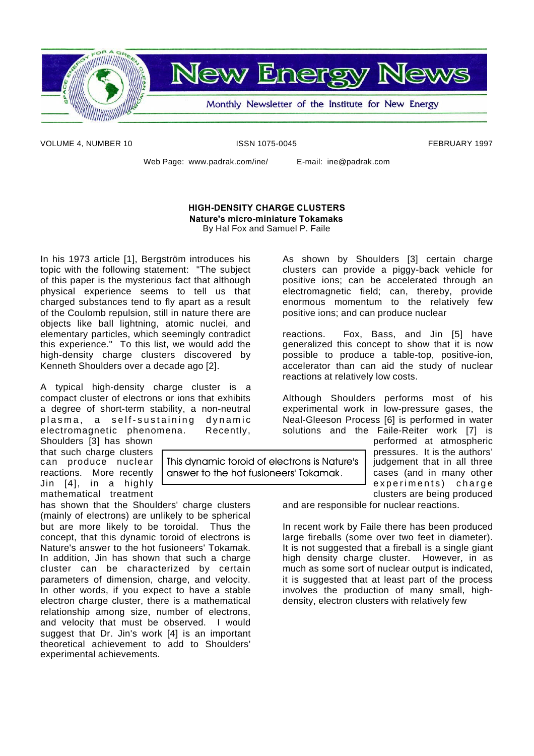

**New Energy News** 

Monthly Newsletter of the Institute for New Energy

VOLUME 4, NUMBER 10 **ISSN 1075-0045** FEBRUARY 1997

Web Page: www.padrak.com/ine/ E-mail: ine@padrak.com

### **HIGH-DENSITY CHARGE CLUSTERS Nature's micro-miniature Tokamaks**

By Hal Fox and Samuel P. Faile

This dynamic toroid of electrons is Nature's answer to the hot fusioneers' Tokamak.

In his 1973 article [1], Bergström introduces his topic with the following statement: "The subject of this paper is the mysterious fact that although physical experience seems to tell us that charged substances tend to fly apart as a result of the Coulomb repulsion, still in nature there are objects like ball lightning, atomic nuclei, and elementary particles, which seemingly contradict this experience." To this list, we would add the high-density charge clusters discovered by Kenneth Shoulders over a decade ago [2].

A typical high-density charge cluster is a compact cluster of electrons or ions that exhibits a degree of short-term stability, a non-neutral plasma, a self-sustaining dynamic electromagnetic phenomena. Recently,

Shoulders [3] has shown that such charge clusters can produce nuclear reactions. More recently Jin [4], in a highly mathematical treatment

has shown that the Shoulders' charge clusters (mainly of electrons) are unlikely to be spherical but are more likely to be toroidal. Thus the concept, that this dynamic toroid of electrons is Nature's answer to the hot fusioneers' Tokamak. In addition, Jin has shown that such a charge cluster can be characterized by certain parameters of dimension, charge, and velocity. In other words, if you expect to have a stable electron charge cluster, there is a mathematical relationship among size, number of electrons, and velocity that must be observed. I would suggest that Dr. Jin's work [4] is an important theoretical achievement to add to Shoulders' experimental achievements.

As shown by Shoulders [3] certain charge clusters can provide a piggy-back vehicle for positive ions; can be accelerated through an electromagnetic field; can, thereby, provide enormous momentum to the relatively few positive ions; and can produce nuclear

reactions. Fox, Bass, and Jin [5] have generalized this concept to show that it is now possible to produce a table-top, positive-ion, accelerator than can aid the study of nuclear reactions at relatively low costs.

Although Shoulders performs most of his experimental work in low-pressure gases, the Neal-Gleeson Process [6] is performed in water solutions and the Faile-Reiter work [7] is

performed at atmospheric pressures. It is the authors' judgement that in all three cases (and in many other experiments) charge clusters are being produced

and are responsible for nuclear reactions.

In recent work by Faile there has been produced large fireballs (some over two feet in diameter). It is not suggested that a fireball is a single giant high density charge cluster. However, in as much as some sort of nuclear output is indicated, it is suggested that at least part of the process involves the production of many small, highdensity, electron clusters with relatively few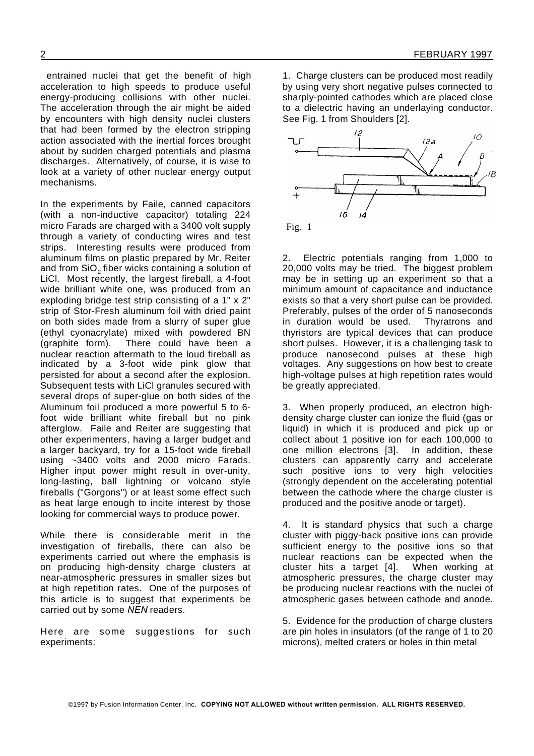entrained nuclei that get the benefit of high acceleration to high speeds to produce useful energy-producing collisions with other nuclei. The acceleration through the air might be aided by encounters with high density nuclei clusters that had been formed by the electron stripping action associated with the inertial forces brought about by sudden charged potentials and plasma discharges. Alternatively, of course, it is wise to look at a variety of other nuclear energy output mechanisms.

In the experiments by Faile, canned capacitors (with a non-inductive capacitor) totaling 224 micro Farads are charged with a 3400 volt supply through a variety of conducting wires and test strips. Interesting results were produced from aluminum films on plastic prepared by Mr. Reiter and from SiO $_2$ fiber wicks containing a solution of LiCl. Most recently, the largest fireball, a 4-foot wide brilliant white one, was produced from an exploding bridge test strip consisting of a 1" x 2" strip of Stor-Fresh aluminum foil with dried paint on both sides made from a slurry of super glue (ethyl cyonacrylate) mixed with powdered BN (graphite form). There could have been a nuclear reaction aftermath to the loud fireball as indicated by a 3-foot wide pink glow that persisted for about a second after the explosion. Subsequent tests with LiCl granules secured with several drops of super-glue on both sides of the Aluminum foil produced a more powerful 5 to 6 foot wide brilliant white fireball but no pink afterglow. Faile and Reiter are suggesting that other experimenters, having a larger budget and a larger backyard, try for a 15-foot wide fireball using ~3400 volts and 2000 micro Farads. Higher input power might result in over-unity, long-lasting, ball lightning or volcano style fireballs ("Gorgons") or at least some effect such as heat large enough to incite interest by those looking for commercial ways to produce power.

While there is considerable merit in the investigation of fireballs, there can also be experiments carried out where the emphasis is on producing high-density charge clusters at near-atmospheric pressures in smaller sizes but at high repetition rates. One of the purposes of this article is to suggest that experiments be carried out by some *NEN* readers.

Here are some suggestions for such experiments:

1. Charge clusters can be produced most readily by using very short negative pulses connected to sharply-pointed cathodes which are placed close to a dielectric having an underlaying conductor. See Fig. 1 from Shoulders [2].



2. Electric potentials ranging from 1,000 to 20,000 volts may be tried. The biggest problem may be in setting up an experiment so that a minimum amount of capacitance and inductance exists so that a very short pulse can be provided. Preferably, pulses of the order of 5 nanoseconds in duration would be used. Thyratrons and thyristors are typical devices that can produce short pulses. However, it is a challenging task to produce nanosecond pulses at these high voltages. Any suggestions on how best to create high-voltage pulses at high repetition rates would be greatly appreciated.

3. When properly produced, an electron highdensity charge cluster can ionize the fluid (gas or liquid) in which it is produced and pick up or collect about 1 positive ion for each 100,000 to one million electrons [3]. In addition, these clusters can apparently carry and accelerate such positive ions to very high velocities (strongly dependent on the accelerating potential between the cathode where the charge cluster is produced and the positive anode or target).

4. It is standard physics that such a charge cluster with piggy-back positive ions can provide sufficient energy to the positive ions so that nuclear reactions can be expected when the cluster hits a target [4]. When working at atmospheric pressures, the charge cluster may be producing nuclear reactions with the nuclei of atmospheric gases between cathode and anode.

5. Evidence for the production of charge clusters are pin holes in insulators (of the range of 1 to 20 microns), melted craters or holes in thin metal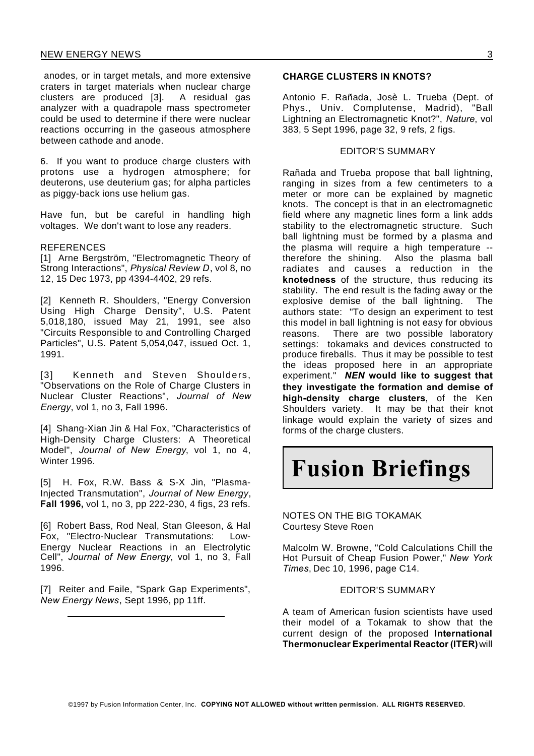anodes, or in target metals, and more extensive craters in target materials when nuclear charge clusters are produced [3]. A residual gas analyzer with a quadrapole mass spectrometer could be used to determine if there were nuclear reactions occurring in the gaseous atmosphere between cathode and anode.

6. If you want to produce charge clusters with protons use a hydrogen atmosphere; for deuterons, use deuterium gas; for alpha particles as piggy-back ions use helium gas.

Have fun, but be careful in handling high voltages. We don't want to lose any readers.

#### **REFERENCES**

[1] Arne Bergström, "Electromagnetic Theory of Strong Interactions", *Physical Review D*, vol 8, no 12, 15 Dec 1973, pp 4394-4402, 29 refs.

[2] Kenneth R. Shoulders, "Energy Conversion Using High Charge Density", U.S. Patent 5,018,180, issued May 21, 1991, see also "Circuits Responsible to and Controlling Charged Particles", U.S. Patent 5,054,047, issued Oct. 1, 1991.

[3] Kenneth and Steven Shoulders, "Observations on the Role of Charge Clusters in Nuclear Cluster Reactions", *Journal of New Energy*, vol 1, no 3, Fall 1996.

[4] Shang-Xian Jin & Hal Fox, "Characteristics of High-Density Charge Clusters: A Theoretical Model", *Journal of New Energy*, vol 1, no 4, Winter 1996.

[5] H. Fox, R.W. Bass & S-X Jin, "Plasma-Injected Transmutation", *Journal of New Energy*, **Fall 1996,** vol 1, no 3, pp 222-230, 4 figs, 23 refs.

[6] Robert Bass, Rod Neal, Stan Gleeson, & Hal Fox, "Electro-Nuclear Transmutations: Low-Energy Nuclear Reactions in an Electrolytic Cell", *Journal of New Energy*, vol 1, no 3, Fall 1996.

[7] Reiter and Faile, "Spark Gap Experiments", *New Energy News*, Sept 1996, pp 11ff.

Antonio F. Rañada, Josè L. Trueba (Dept. of Phys., Univ. Complutense, Madrid), "Ball Lightning an Electromagnetic Knot?", *Nature*, vol 383, 5 Sept 1996, page 32, 9 refs, 2 figs.

#### EDITOR'S SUMMARY

Rañada and Trueba propose that ball lightning, ranging in sizes from a few centimeters to a meter or more can be explained by magnetic knots. The concept is that in an electromagnetic field where any magnetic lines form a link adds stability to the electromagnetic structure. Such ball lightning must be formed by a plasma and the plasma will require a high temperature - therefore the shining. Also the plasma ball radiates and causes a reduction in the **knotedness** of the structure, thus reducing its stability. The end result is the fading away or the explosive demise of the ball lightning. The authors state: "To design an experiment to test this model in ball lightning is not easy for obvious reasons. There are two possible laboratory settings: tokamaks and devices constructed to produce fireballs. Thus it may be possible to test the ideas proposed here in an appropriate experiment." *NEN* **would like to suggest that they investigate the formation and demise of high-density charge clusters**, of the Ken Shoulders variety. It may be that their knot linkage would explain the variety of sizes and forms of the charge clusters.

# **Fusion Briefings**

NOTES ON THE BIG TOKAMAK Courtesy Steve Roen

Malcolm W. Browne, "Cold Calculations Chill the Hot Pursuit of Cheap Fusion Power," *New York Times*, Dec 10, 1996, page C14.

#### EDITOR'S SUMMARY

A team of American fusion scientists have used their model of a Tokamak to show that the current design of the proposed **International Thermonuclear Experimental Reactor (ITER)**will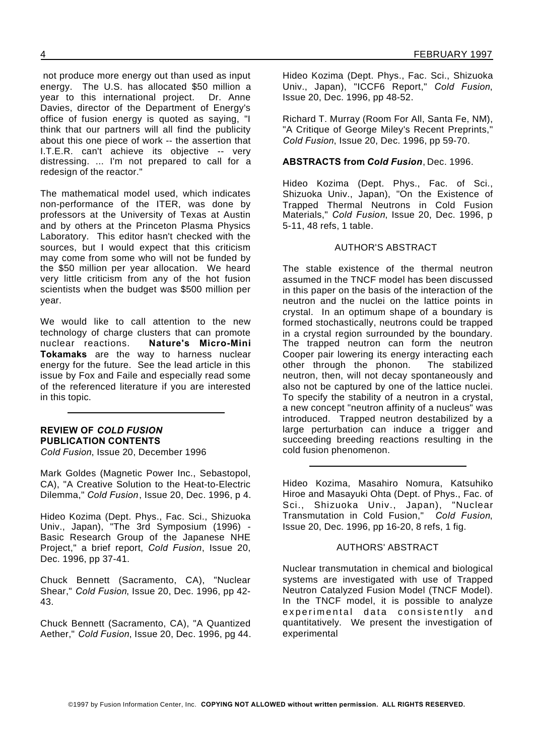not produce more energy out than used as input energy. The U.S. has allocated \$50 million a year to this international project. Dr. Anne Davies, director of the Department of Energy's office of fusion energy is quoted as saying, "I think that our partners will all find the publicity about this one piece of work -- the assertion that I.T.E.R. can't achieve its objective -- very distressing. ... I'm not prepared to call for a redesign of the reactor."

The mathematical model used, which indicates non-performance of the ITER, was done by professors at the University of Texas at Austin and by others at the Princeton Plasma Physics Laboratory. This editor hasn't checked with the sources, but I would expect that this criticism may come from some who will not be funded by the \$50 million per year allocation. We heard very little criticism from any of the hot fusion scientists when the budget was \$500 million per year.

We would like to call attention to the new technology of charge clusters that can promote nuclear reactions. **Nature's Micro-Mini Tokamaks** are the way to harness nuclear energy for the future. See the lead article in this issue by Fox and Faile and especially read some of the referenced literature if you are interested in this topic.

#### **REVIEW OF** *COLD FUSION* **PUBLICATION CONTENTS**

*Cold Fusion*, Issue 20, December 1996

Mark Goldes (Magnetic Power Inc., Sebastopol, CA), "A Creative Solution to the Heat-to-Electric Dilemma," *Cold Fusion*, Issue 20, Dec. 1996, p 4.

Hideo Kozima (Dept. Phys., Fac. Sci., Shizuoka Univ., Japan), "The 3rd Symposium (1996) - Basic Research Group of the Japanese NHE Project," a brief report, *Cold Fusion*, Issue 20, Dec. 1996, pp 37-41.

Chuck Bennett (Sacramento, CA), "Nuclear Shear," *Cold Fusion*, Issue 20, Dec. 1996, pp 42- 43.

Chuck Bennett (Sacramento, CA), "A Quantized Aether," *Cold Fusion*, Issue 20, Dec. 1996, pg 44. Hideo Kozima (Dept. Phys., Fac. Sci., Shizuoka Univ., Japan), "ICCF6 Report," *Cold Fusion*, Issue 20, Dec. 1996, pp 48-52.

Richard T. Murray (Room For All, Santa Fe, NM), "A Critique of George Miley's Recent Preprints," *Cold Fusion*, Issue 20, Dec. 1996, pp 59-70.

#### **ABSTRACTS from** *Cold Fusion*, Dec. 1996.

Hideo Kozima (Dept. Phys., Fac. of Sci., Shizuoka Univ., Japan), "On the Existence of Trapped Thermal Neutrons in Cold Fusion Materials," *Cold Fusion*, Issue 20, Dec. 1996, p 5-11, 48 refs, 1 table.

#### AUTHOR'S ABSTRACT

The stable existence of the thermal neutron assumed in the TNCF model has been discussed in this paper on the basis of the interaction of the neutron and the nuclei on the lattice points in crystal. In an optimum shape of a boundary is formed stochastically, neutrons could be trapped in a crystal region surrounded by the boundary. The trapped neutron can form the neutron Cooper pair lowering its energy interacting each other through the phonon. The stabilized neutron, then, will not decay spontaneously and also not be captured by one of the lattice nuclei. To specify the stability of a neutron in a crystal, a new concept "neutron affinity of a nucleus" was introduced. Trapped neutron destabilized by a large perturbation can induce a trigger and succeeding breeding reactions resulting in the cold fusion phenomenon.

Hideo Kozima, Masahiro Nomura, Katsuhiko Hiroe and Masayuki Ohta (Dept. of Phys., Fac. of Sci., Shizuoka Univ., Japan), "Nuclear Transmutation in Cold Fusion," *Cold Fusion*, Issue 20, Dec. 1996, pp 16-20, 8 refs, 1 fig.

#### AUTHORS' ABSTRACT

Nuclear transmutation in chemical and biological systems are investigated with use of Trapped Neutron Catalyzed Fusion Model (TNCF Model). In the TNCF model, it is possible to analyze experimental data consistently and quantitatively. We present the investigation of experimental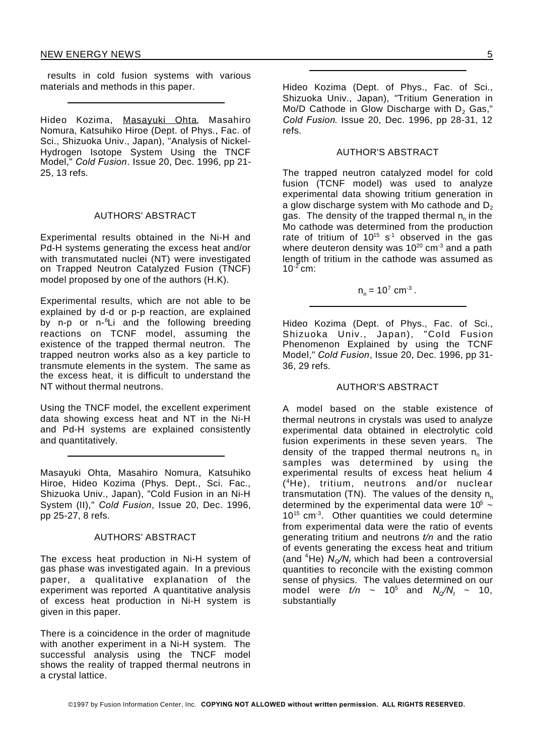results in cold fusion systems with various materials and methods in this paper.

Hideo Kozima, Masayuki Ohta, Masahiro Nomura, Katsuhiko Hiroe (Dept. of Phys., Fac. of Sci., Shizuoka Univ., Japan), "Analysis of Nickel-Hydrogen Isotope System Using the TNCF Model," *Cold Fusion*. Issue 20, Dec. 1996, pp 21- 25, 13 refs.

#### AUTHORS' ABSTRACT

Experimental results obtained in the Ni-H and Pd-H systems generating the excess heat and/or with transmutated nuclei (NT) were investigated on Trapped Neutron Catalyzed Fusion (TNCF) model proposed by one of the authors (H.K).

Experimental results, which are not able to be explained by d-d or p-p reaction, are explained by n-p or n-<sup>6</sup>Li and the following breeding reactions on TCNF model, assuming the existence of the trapped thermal neutron. The trapped neutron works also as a key particle to transmute elements in the system. The same as the excess heat, it is difficult to understand the NT without thermal neutrons.

Using the TNCF model, the excellent experiment data showing excess heat and NT in the Ni-H and Pd-H systems are explained consistently and quantitatively.

Masayuki Ohta, Masahiro Nomura, Katsuhiko Hiroe, Hideo Kozima (Phys. Dept., Sci. Fac., Shizuoka Univ., Japan), "Cold Fusion in an Ni-H System (II)," *Cold Fusion*, Issue 20, Dec. 1996, pp 25-27, 8 refs.

#### AUTHORS' ABSTRACT

The excess heat production in Ni-H system of gas phase was investigated again. In a previous paper, a qualitative explanation of the experiment was reported A quantitative analysis of excess heat production in Ni-H system is given in this paper.

There is a coincidence in the order of magnitude with another experiment in a Ni-H system. The successful analysis using the TNCF model shows the reality of trapped thermal neutrons in a crystal lattice.

Hideo Kozima (Dept. of Phys., Fac. of Sci., Shizuoka Univ., Japan), "Tritium Generation in Mo/D Cathode in Glow Discharge with  $D_2$  Gas," *Cold Fusion*. Issue 20, Dec. 1996, pp 28-31, 12 refs.

#### AUTHOR'S ABSTRACT

The trapped neutron catalyzed model for cold fusion (TCNF model) was used to analyze experimental data showing tritium generation in a glow discharge system with Mo cathode and  $D_2$ gas. The density of the trapped thermal  $\boldsymbol{\mathsf n}_{\mathsf n}$  in the Mo cathode was determined from the production rate of tritium of  $10^{15}$  s<sup>-1</sup> observed in the gas where deuteron density was  $10^{20}$  cm<sup>-3</sup> and a path length of tritium in the cathode was assumed as  $10^{-2}$  cm:

$$
n_n = 10^7
$$
 cm<sup>-3</sup>.

Hideo Kozima (Dept. of Phys., Fac. of Sci., Shizuoka Univ., Japan), "Cold Fusion Phenomenon Explained by using the TCNF Model," *Cold Fusion*, Issue 20, Dec. 1996, pp 31- 36, 29 refs.

#### AUTHOR'S ABSTRACT

A model based on the stable existence of thermal neutrons in crystals was used to analyze experimental data obtained in electrolytic cold fusion experiments in these seven years. The density of the trapped thermal neutrons  $\boldsymbol{\mathsf n}_{\mathsf n}$  in samples was determined by using the experimental results of excess heat helium 4 ( <sup>4</sup>He), tritium, neutrons and/or nuclear transmutation (TN). The values of the density  $n_{n}$ determined by the experimental data were  $10^5 \sim$  $10^{15}$  cm<sup>-3</sup>. Other quantities we could determine from experimental data were the ratio of events generating tritium and neutrons *t/n* and the ratio of events generating the excess heat and tritium (and  ${}^{4}$ He)  $N_{\alpha}/N_{t}$  which had been a controversial quantities to reconcile with the existing common sense of physics. The values determined on our model were  $t/n$  ~ 10<sup>5</sup> and  $N_{\alpha}/N_{t}$  ~ 10, substantially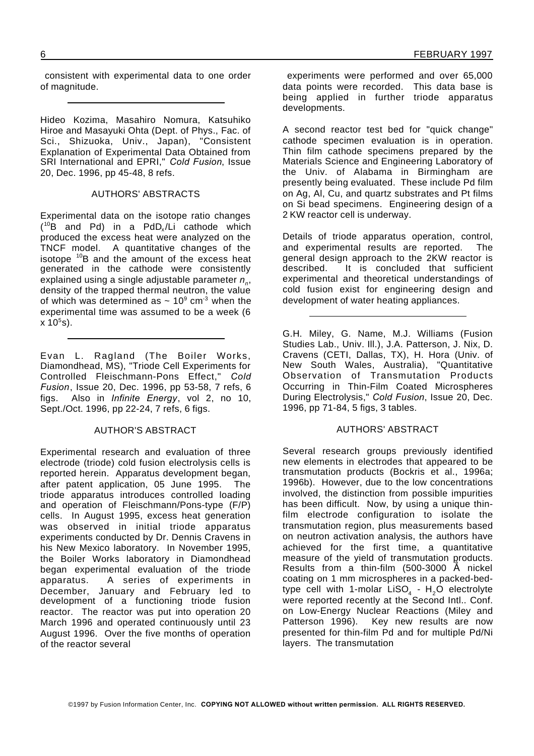consistent with experimental data to one order of magnitude.

Hideo Kozima, Masahiro Nomura, Katsuhiko Hiroe and Masayuki Ohta (Dept. of Phys., Fac. of Sci., Shizuoka, Univ., Japan), "Consistent Explanation of Experimental Data Obtained from SRI International and EPRI," *Cold Fusion*, Issue 20, Dec. 1996, pp 45-48, 8 refs.

#### AUTHORS' ABSTRACTS

Experimental data on the isotope ratio changes  $(^{10}B$  and Pd) in a PdD<sub>x</sub>/Li cathode which produced the excess heat were analyzed on the TNCF model. A quantitative changes of the isotope  $10B$  and the amount of the excess heat generated in the cathode were consistently explained using a single adjustable parameter *n<sup>n</sup>* , density of the trapped thermal neutron, the value of which was determined as  $\sim 10^9$  cm<sup>-3</sup> when the experimental time was assumed to be a week (6  $x 10<sup>5</sup> s$ ).

Evan L. Ragland (The Boiler Works, Diamondhead, MS), "Triode Cell Experiments for Controlled Fleischmann-Pons Effect," *Cold Fusion*, Issue 20, Dec. 1996, pp 53-58, 7 refs, 6 figs. Also in *Infinite Energy*, vol 2, no 10, Sept./Oct. 1996, pp 22-24, 7 refs, 6 figs.

#### AUTHOR'S ABSTRACT

Experimental research and evaluation of three electrode (triode) cold fusion electrolysis cells is reported herein. Apparatus development began, after patent application, 05 June 1995. The triode apparatus introduces controlled loading and operation of Fleischmann/Pons-type (F/P) cells. In August 1995, excess heat generation was observed in initial triode apparatus experiments conducted by Dr. Dennis Cravens in his New Mexico laboratory. In November 1995, the Boiler Works laboratory in Diamondhead began experimental evaluation of the triode apparatus. A series of experiments in December, January and February led to development of a functioning triode fusion reactor. The reactor was put into operation 20 March 1996 and operated continuously until 23 August 1996. Over the five months of operation of the reactor several

experiments were performed and over 65,000 data points were recorded. This data base is being applied in further triode apparatus developments.

A second reactor test bed for "quick change" cathode specimen evaluation is in operation. Thin film cathode specimens prepared by the Materials Science and Engineering Laboratory of the Univ. of Alabama in Birmingham are presently being evaluated. These include Pd film on Ag, Al, Cu, and quartz substrates and Pt films on Si bead specimens. Engineering design of a 2 KW reactor cell is underway.

Details of triode apparatus operation, control, and experimental results are reported. The general design approach to the 2KW reactor is described. It is concluded that sufficient experimental and theoretical understandings of cold fusion exist for engineering design and development of water heating appliances.

G.H. Miley, G. Name, M.J. Williams (Fusion Studies Lab., Univ. Ill.), J.A. Patterson, J. Nix, D. Cravens (CETI, Dallas, TX), H. Hora (Univ. of New South Wales, Australia), "Quantitative Observation of Transmutation Products Occurring in Thin-Film Coated Microspheres During Electrolysis," *Cold Fusion*, Issue 20, Dec. 1996, pp 71-84, 5 figs, 3 tables.

#### AUTHORS' ABSTRACT

Several research groups previously identified new elements in electrodes that appeared to be transmutation products (Bockris et al., 1996a; 1996b). However, due to the low concentrations involved, the distinction from possible impurities has been difficult. Now, by using a unique thinfilm electrode configuration to isolate the transmutation region, plus measurements based on neutron activation analysis, the authors have achieved for the first time, a quantitative measure of the yield of transmutation products. Results from a thin-film  $(500-3000$   $\AA$  nickel coating on 1 mm microspheres in a packed-bedtype cell with 1-molar LiSO $_4$  - H $_2$ O electrolyte were reported recently at the Second Intl.. Conf. on Low-Energy Nuclear Reactions (Miley and Patterson 1996). Key new results are now presented for thin-film Pd and for multiple Pd/Ni layers. The transmutation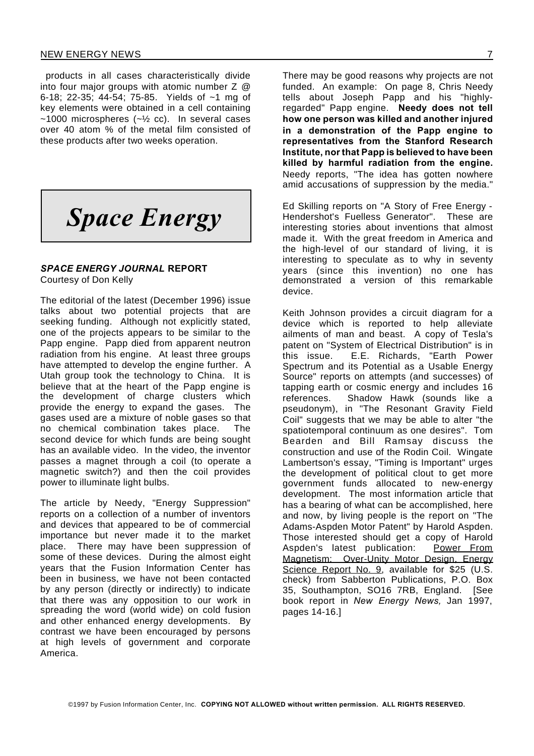#### NEW ENERGY NEWS 7

products in all cases characteristically divide into four major groups with atomic number  $Z \varnothing$ 6-18; 22-35; 44-54; 75-85. Yields of ~1 mg of key elements were obtained in a cell containing  $~1000$  microspheres ( $~1/2$  cc). In several cases over 40 atom % of the metal film consisted of these products after two weeks operation.



#### *SPACE ENERGY JOURNAL* **REPORT** Courtesy of Don Kelly

The editorial of the latest (December 1996) issue talks about two potential projects that are seeking funding. Although not explicitly stated, one of the projects appears to be similar to the Papp engine. Papp died from apparent neutron radiation from his engine. At least three groups have attempted to develop the engine further. A Utah group took the technology to China. It is believe that at the heart of the Papp engine is the development of charge clusters which provide the energy to expand the gases. The gases used are a mixture of noble gases so that no chemical combination takes place. The second device for which funds are being sought has an available video. In the video, the inventor passes a magnet through a coil (to operate a magnetic switch?) and then the coil provides power to illuminate light bulbs.

The article by Needy, "Energy Suppression" reports on a collection of a number of inventors and devices that appeared to be of commercial importance but never made it to the market place. There may have been suppression of some of these devices. During the almost eight years that the Fusion Information Center has been in business, we have not been contacted by any person (directly or indirectly) to indicate that there was any opposition to our work in spreading the word (world wide) on cold fusion and other enhanced energy developments. By contrast we have been encouraged by persons at high levels of government and corporate America.

There may be good reasons why projects are not funded. An example: On page 8, Chris Needy tells about Joseph Papp and his "highlyregarded" Papp engine. **Needy does not tell how one person was killed and another injured in a demonstration of the Papp engine to representatives from the Stanford Research Institute, nor that Papp is believed to have been killed by harmful radiation from the engine.** Needy reports, "The idea has gotten nowhere amid accusations of suppression by the media."

Ed Skilling reports on "A Story of Free Energy - Hendershot's Fuelless Generator". These are interesting stories about inventions that almost made it. With the great freedom in America and the high-level of our standard of living, it is interesting to speculate as to why in seventy years (since this invention) no one has demonstrated a version of this remarkable device.

Keith Johnson provides a circuit diagram for a device which is reported to help alleviate ailments of man and beast. A copy of Tesla's patent on "System of Electrical Distribution" is in this issue. E.E. Richards, "Earth Power Spectrum and its Potential as a Usable Energy Source" reports on attempts (and successes) of tapping earth or cosmic energy and includes 16 references. Shadow Hawk (sounds like a pseudonym), in "The Resonant Gravity Field Coil" suggests that we may be able to alter "the spatiotemporal continuum as one desires". Tom Bearden and Bill Ramsay discuss the construction and use of the Rodin Coil. Wingate Lambertson's essay, "Timing is Important" urges the development of political clout to get more government funds allocated to new-energy development. The most information article that has a bearing of what can be accomplished, here and now, by living people is the report on "The Adams-Aspden Motor Patent" by Harold Aspden. Those interested should get a copy of Harold Aspden's latest publication: Power From Magnetism: Over-Unity Motor Design, Energy Science Report No. 9, available for \$25 (U.S. check) from Sabberton Publications, P.O. Box 35, Southampton, SO16 7RB, England. [See book report in *New Energy News,* Jan 1997, pages 14-16.]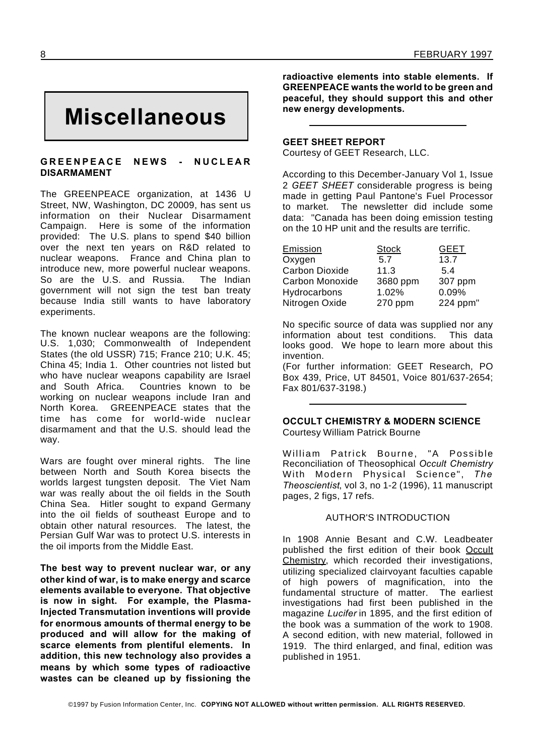# **Miscellaneous**

#### GREENPEACE NEWS - NUCLEAR **DISARMAMENT**

The GREENPEACE organization, at 1436 U Street, NW, Washington, DC 20009, has sent us information on their Nuclear Disarmament Campaign. Here is some of the information provided: The U.S. plans to spend \$40 billion over the next ten years on R&D related to nuclear weapons. France and China plan to introduce new, more powerful nuclear weapons. So are the U.S. and Russia. The Indian government will not sign the test ban treaty because India still wants to have laboratory experiments.

The known nuclear weapons are the following: U.S. 1,030; Commonwealth of Independent States (the old USSR) 715; France 210; U.K. 45; China 45; India 1. Other countries not listed but who have nuclear weapons capability are Israel and South Africa. Countries known to be working on nuclear weapons include Iran and North Korea. GREENPEACE states that the time has come for world-wide nuclear disarmament and that the U.S. should lead the way.

Wars are fought over mineral rights. The line between North and South Korea bisects the worlds largest tungsten deposit. The Viet Nam war was really about the oil fields in the South China Sea. Hitler sought to expand Germany into the oil fields of southeast Europe and to obtain other natural resources. The latest, the Persian Gulf War was to protect U.S. interests in the oil imports from the Middle East.

**The best way to prevent nuclear war, or any other kind of war, is to make energy and scarce elements available to everyone. That objective is now in sight. For example, the Plasma-Injected Transmutation inventions will provide for enormous amounts of thermal energy to be produced and will allow for the making of scarce elements from plentiful elements. In addition, this new technology also provides a means by which some types of radioactive wastes can be cleaned up by fissioning the**

**radioactive elements into stable elements. If GREENPEACE wants the world to be green and peaceful, they should support this and other new energy developments.**

#### **GEET SHEET REPORT**

Courtesy of GEET Research, LLC.

According to this December-January Vol 1, Issue 2 *GEET SHEET* considerable progress is being made in getting Paul Pantone's Fuel Processor to market. The newsletter did include some data: "Canada has been doing emission testing on the 10 HP unit and the results are terrific.

| Emission              | <b>Stock</b> | <b>GEET</b> |
|-----------------------|--------------|-------------|
| Oxygen                | 5.7          | 13.7        |
| <b>Carbon Dioxide</b> | 11.3         | 5.4         |
| Carbon Monoxide       | 3680 ppm     | 307 ppm     |
| Hydrocarbons          | 1.02%        | 0.09%       |
| Nitrogen Oxide        | 270 ppm      | 224 ppm"    |

No specific source of data was supplied nor any information about test conditions. This data looks good. We hope to learn more about this invention.

(For further information: GEET Research, PO Box 439, Price, UT 84501, Voice 801/637-2654; Fax 801/637-3198.)

#### **OCCULT CHEMISTRY & MODERN SCIENCE** Courtesy William Patrick Bourne

William Patrick Bourne, "A Possible Reconciliation of Theosophical *Occult Chemistry* With Modern Physical Science", *The Theoscientist*, vol 3, no 1-2 (1996), 11 manuscript pages, 2 figs, 17 refs.

#### AUTHOR'S INTRODUCTION

In 1908 Annie Besant and C.W. Leadbeater published the first edition of their book Occult Chemistry, which recorded their investigations, utilizing specialized clairvoyant faculties capable of high powers of magnification, into the fundamental structure of matter. The earliest investigations had first been published in the magazine *Lucifer* in 1895, and the first edition of the book was a summation of the work to 1908. A second edition, with new material, followed in 1919. The third enlarged, and final, edition was published in 1951.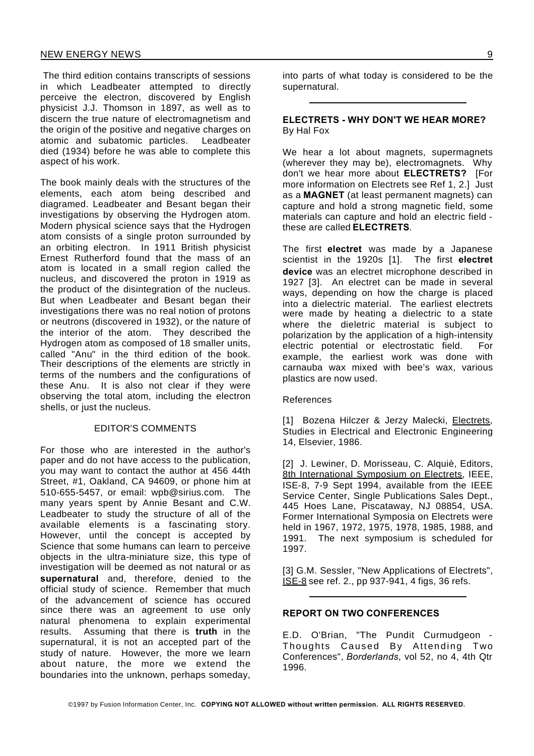The third edition contains transcripts of sessions in which Leadbeater attempted to directly perceive the electron, discovered by English physicist J.J. Thomson in 1897, as well as to discern the true nature of electromagnetism and the origin of the positive and negative charges on atomic and subatomic particles. Leadbeater died (1934) before he was able to complete this aspect of his work.

The book mainly deals with the structures of the elements, each atom being described and diagramed. Leadbeater and Besant began their investigations by observing the Hydrogen atom. Modern physical science says that the Hydrogen atom consists of a single proton surrounded by an orbiting electron. In 1911 British physicist Ernest Rutherford found that the mass of an atom is located in a small region called the nucleus, and discovered the proton in 1919 as the product of the disintegration of the nucleus. But when Leadbeater and Besant began their investigations there was no real notion of protons or neutrons (discovered in 1932), or the nature of the interior of the atom. They described the Hydrogen atom as composed of 18 smaller units, called "Anu" in the third edition of the book. Their descriptions of the elements are strictly in terms of the numbers and the configurations of these Anu. It is also not clear if they were observing the total atom, including the electron shells, or just the nucleus.

#### EDITOR'S COMMENTS

For those who are interested in the author's paper and do not have access to the publication, you may want to contact the author at 456 44th Street, #1, Oakland, CA 94609, or phone him at 510-655-5457, or email: wpb@sirius.com. The many years spent by Annie Besant and C.W. Leadbeater to study the structure of all of the available elements is a fascinating story. However, until the concept is accepted by Science that some humans can learn to perceive objects in the ultra-miniature size, this type of investigation will be deemed as not natural or as **supernatural** and, therefore, denied to the official study of science. Remember that much of the advancement of science has occured since there was an agreement to use only natural phenomena to explain experimental results. Assuming that there is **truth** in the supernatural, it is not an accepted part of the study of nature. However, the more we learn about nature, the more we extend the boundaries into the unknown, perhaps someday,

into parts of what today is considered to be the supernatural.

#### **ELECTRETS - WHY DON'T WE HEAR MORE?** By Hal Fox

We hear a lot about magnets, supermagnets (wherever they may be), electromagnets. Why don't we hear more about **ELECTRETS?** [For more information on Electrets see Ref 1, 2.] Just as a **MAGNET** (at least permanent magnets) can capture and hold a strong magnetic field, some materials can capture and hold an electric field these are called **ELECTRETS**.

The first **electret** was made by a Japanese scientist in the 1920s [1]. The first **electret device** was an electret microphone described in 1927 [3]. An electret can be made in several ways, depending on how the charge is placed into a dielectric material. The earliest electrets were made by heating a dielectric to a state where the dieletric material is subject to polarization by the application of a high-intensity electric potential or electrostatic field. For example, the earliest work was done with carnauba wax mixed with bee's wax, various plastics are now used.

#### References

[1] Bozena Hilczer & Jerzy Malecki, Electrets, Studies in Electrical and Electronic Engineering 14, Elsevier, 1986.

[2] J. Lewiner, D. Morisseau, C. Alquiè, Editors, 8th International Symposium on Electrets, IEEE, ISE-8, 7-9 Sept 1994, available from the IEEE Service Center, Single Publications Sales Dept., 445 Hoes Lane, Piscataway, NJ 08854, USA. Former International Symposia on Electrets were held in 1967, 1972, 1975, 1978, 1985, 1988, and 1991. The next symposium is scheduled for 1997.

[3] G.M. Sessler, "New Applications of Electrets", ISE-8 see ref. 2., pp 937-941, 4 figs, 36 refs.

#### **REPORT ON TWO CONFERENCES**

E.D. O'Brian, "The Pundit Curmudgeon - Thoughts Caused By Attending Two Conferences", *Borderlands*, vol 52, no 4, 4th Qtr 1996.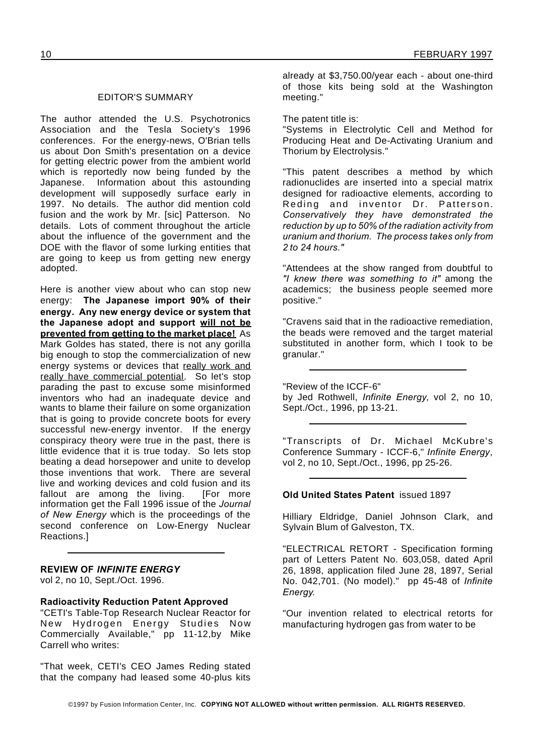#### EDITOR'S SUMMARY

The author attended the U.S. Psychotronics Association and the Tesla Society's 1996 conferences. For the energy-news, O'Brian tells us about Don Smith's presentation on a device for getting electric power from the ambient world which is reportedly now being funded by the Japanese. Information about this astounding development will supposedly surface early in 1997. No details. The author did mention cold fusion and the work by Mr. [sic] Patterson. No details. Lots of comment throughout the article about the influence of the government and the DOE with the flavor of some lurking entities that are going to keep us from getting new energy adopted.

Here is another view about who can stop new energy: **The Japanese import 90% of their energy. Any new energy device or system that the Japanese adopt and support will not be prevented from getting to the market place!** As Mark Goldes has stated, there is not any gorilla big enough to stop the commercialization of new energy systems or devices that really work and really have commercial potential. So let's stop parading the past to excuse some misinformed inventors who had an inadequate device and wants to blame their failure on some organization that is going to provide concrete boots for every successful new-energy inventor. If the energy conspiracy theory were true in the past, there is little evidence that it is true today. So lets stop beating a dead horsepower and unite to develop those inventions that work. There are several live and working devices and cold fusion and its fallout are among the living. [For more information get the Fall 1996 issue of the *Journal of New Energy* which is the proceedings of the second conference on Low-Energy Nuclear Reactions.]

**REVIEW OF** *INFINITE ENERGY*

vol 2, no 10, Sept./Oct. 1996.

#### **Radioactivity Reduction Patent Approved**

"CETI's Table-Top Research Nuclear Reactor for New Hydrogen Energy Studies Now Commercially Available," pp 11-12,by Mike Carrell who writes:

"That week, CETI's CEO James Reding stated that the company had leased some 40-plus kits

already at \$3,750.00/year each - about one-third of those kits being sold at the Washington meeting."

The patent title is:

"Systems in Electrolytic Cell and Method for Producing Heat and De-Activating Uranium and Thorium by Electrolysis."

"This patent describes a method by which radionuclides are inserted into a special matrix designed for radioactive elements, according to Reding and inventor Dr. Patterson. *Conservatively they have demonstrated the reduction by up to 50% of the radiation activity from uranium and thorium. The process takes only from 2 to 24 hours."*

"Attendees at the show ranged from doubtful to *"I knew there was something to it"* among the academics; the business people seemed more positive."

"Cravens said that in the radioactive remediation, the beads were removed and the target material substituted in another form, which I took to be granular."

"Review of the ICCF-6" by Jed Rothwell, *Infinite Energy*, vol 2, no 10, Sept./Oct., 1996, pp 13-21.

"Transcripts of Dr. Michael McKubre's Conference Summary - ICCF-6," *Infinite Energy*, vol 2, no 10, Sept./Oct., 1996, pp 25-26.

#### **Old United States Patent** issued 1897

Hilliary Eldridge, Daniel Johnson Clark, and Sylvain Blum of Galveston, TX.

"ELECTRICAL RETORT - Specification forming part of Letters Patent No. 603,058, dated April 26, 1898, application filed June 28, 1897, Serial No. 042,701. (No model)." pp 45-48 of *Infinite Energy*.

"Our invention related to electrical retorts for manufacturing hydrogen gas from water to be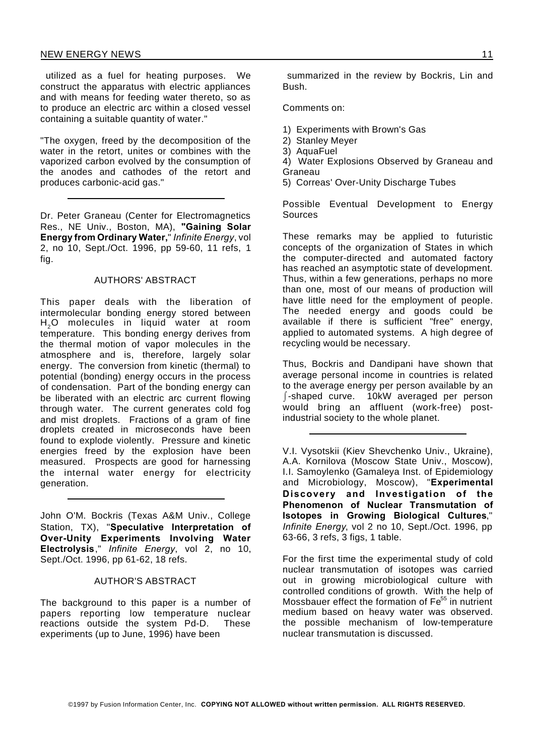utilized as a fuel for heating purposes. We construct the apparatus with electric appliances and with means for feeding water thereto, so as to produce an electric arc within a closed vessel containing a suitable quantity of water."

"The oxygen, freed by the decomposition of the water in the retort, unites or combines with the vaporized carbon evolved by the consumption of the anodes and cathodes of the retort and produces carbonic-acid gas."

Dr. Peter Graneau (Center for Electromagnetics Res., NE Univ., Boston, MA), **"Gaining Solar Energy from Ordinary Water,**" *Infinite Energy*, vol 2, no 10, Sept./Oct. 1996, pp 59-60, 11 refs, 1 fig.

#### AUTHORS' ABSTRACT

This paper deals with the liberation of intermolecular bonding energy stored between  $H<sub>2</sub>O$  molecules in liquid water at room temperature. This bonding energy derives from the thermal motion of vapor molecules in the atmosphere and is, therefore, largely solar energy. The conversion from kinetic (thermal) to potential (bonding) energy occurs in the process of condensation. Part of the bonding energy can be liberated with an electric arc current flowing through water. The current generates cold fog and mist droplets. Fractions of a gram of fine droplets created in microseconds have been found to explode violently. Pressure and kinetic energies freed by the explosion have been measured. Prospects are good for harnessing the internal water energy for electricity generation.

John O'M. Bockris (Texas A&M Univ., College Station, TX), "**Speculative Interpretation of Over-Unity Experiments Involving Water Electrolysis**," *Infinite Energy*, vol 2, no 10, Sept./Oct. 1996, pp 61-62, 18 refs.

#### AUTHOR'S ABSTRACT

The background to this paper is a number of papers reporting low temperature nuclear reactions outside the system Pd-D. These experiments (up to June, 1996) have been

summarized in the review by Bockris, Lin and Bush.

Comments on:

- 1) Experiments with Brown's Gas
- 2) Stanley Meyer
- 3) AquaFuel
- 4) Water Explosions Observed by Graneau and Graneau
- 5) Correas' Over-Unity Discharge Tubes

Possible Eventual Development to Energy **Sources** 

These remarks may be applied to futuristic concepts of the organization of States in which the computer-directed and automated factory has reached an asymptotic state of development. Thus, within a few generations, perhaps no more than one, most of our means of production will have little need for the employment of people. The needed energy and goods could be available if there is sufficient "free" energy, applied to automated systems. A high degree of recycling would be necessary.

Thus, Bockris and Dandipani have shown that average personal income in countries is related to the average energy per person available by an -shaped curve. 10kW averaged per person would bring an affluent (work-free) postindustrial society to the whole planet.

V.I. Vysotskii (Kiev Shevchenko Univ., Ukraine), A.A. Kornilova (Moscow State Univ., Moscow), I.I. Samoylenko (Gamaleya Inst. of Epidemiology and Microbiology, Moscow), "**Experimental Discovery and Investigation of the Phenomenon of Nuclear Transmutation of Isotopes in Growing Biological Cultures**," *Infinite Energy*, vol 2 no 10, Sept./Oct. 1996, pp 63-66, 3 refs, 3 figs, 1 table.

For the first time the experimental study of cold nuclear transmutation of isotopes was carried out in growing microbiological culture with controlled conditions of growth. With the help of Mossbauer effect the formation of  $Fe<sup>55</sup>$  in nutrient medium based on heavy water was observed. the possible mechanism of low-temperature nuclear transmutation is discussed.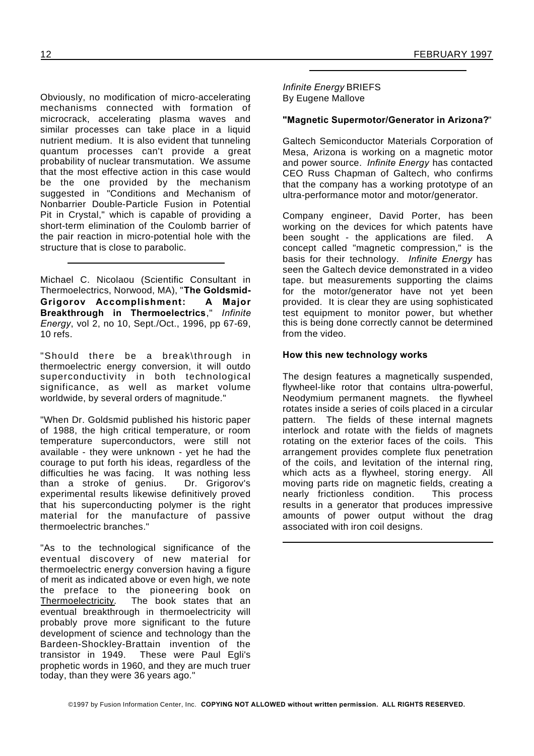mechanisms connected with formation of microcrack, accelerating plasma waves and similar processes can take place in a liquid nutrient medium. It is also evident that tunneling quantum processes can't provide a great probability of nuclear transmutation. We assume that the most effective action in this case would be the one provided by the mechanism suggested in "Conditions and Mechanism of Nonbarrier Double-Particle Fusion in Potential Pit in Crystal," which is capable of providing a short-term elimination of the Coulomb barrier of the pair reaction in micro-potential hole with the structure that is close to parabolic.

Michael C. Nicolaou (Scientific Consultant in Thermoelectrics, Norwood, MA), "**The Goldsmid-Grigorov Accomplishment: A Major Breakthrough in Thermoelectrics**," *Infinite Energy*, vol 2, no 10, Sept./Oct., 1996, pp 67-69, 10 refs.

"Should there be a break\through in thermoelectric energy conversion, it will outdo superconductivity in both technological significance, as well as market volume worldwide, by several orders of magnitude."

"When Dr. Goldsmid published his historic paper of 1988, the high critical temperature, or room temperature superconductors, were still not available - they were unknown - yet he had the courage to put forth his ideas, regardless of the difficulties he was facing. It was nothing less<br>than a stroke of genius. Dr. Grigorov's than a stroke of genius. experimental results likewise definitively proved that his superconducting polymer is the right material for the manufacture of passive thermoelectric branches."

"As to the technological significance of the eventual discovery of new material for thermoelectric energy conversion having a figure of merit as indicated above or even high, we note the preface to the pioneering book on Thermoelectricity. The book states that an eventual breakthrough in thermoelectricity will probably prove more significant to the future development of science and technology than the Bardeen-Shockley-Brattain invention of the transistor in 1949. These were Paul Egli's prophetic words in 1960, and they are much truer today, than they were 36 years ago."

*Infinite Energy* BRIEFS

### **"Magnetic Supermotor/Generator in Arizona?**"

Galtech Semiconductor Materials Corporation of Mesa, Arizona is working on a magnetic motor and power source. *Infinite Energy* has contacted CEO Russ Chapman of Galtech, who confirms that the company has a working prototype of an ultra-performance motor and motor/generator.

Company engineer, David Porter, has been working on the devices for which patents have been sought - the applications are filed. A concept called "magnetic compression," is the basis for their technology. *Infinite Energy* has seen the Galtech device demonstrated in a video tape. but measurements supporting the claims for the motor/generator have not yet been provided. It is clear they are using sophisticated .<br>test equipment to monitor power, but whether this is being done correctly cannot be determined from the video.

#### **How this new technology works**

The design features a magnetically suspended, flywheel-like rotor that contains ultra-powerful, Neodymium permanent magnets. the flywheel rotates inside a series of coils placed in a circular pattern. The fields of these internal magnets interlock and rotate with the fields of magnets rotating on the exterior faces of the coils. This arrangement provides complete flux penetration of the coils, and levitation of the internal ring, which acts as a flywheel, storing energy. All moving parts ride on magnetic fields, creating a nearly frictionless condition. This process results in a generator that produces impressive amounts of power output without the drag associated with iron coil designs.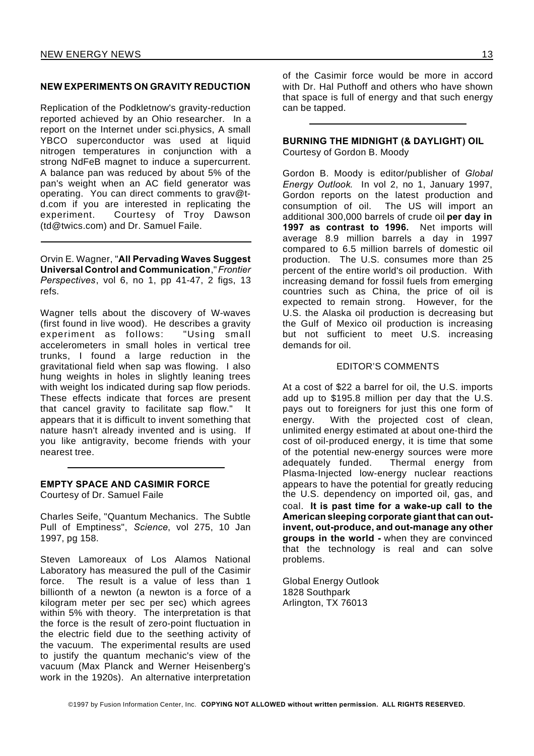#### **NEW EXPERIMENTS ON GRAVITY REDUCTION**

Replication of the Podkletnow's gravity-reduction reported achieved by an Ohio researcher. In a report on the Internet under sci.physics, A small YBCO superconductor was used at liquid nitrogen temperatures in conjunction with a strong NdFeB magnet to induce a supercurrent. A balance pan was reduced by about 5% of the pan's weight when an AC field generator was operating. You can direct comments to grav@td.com if you are interested in replicating the experiment. Courtesy of Troy Dawson (td@twics.com) and Dr. Samuel Faile.

Orvin E. Wagner, "**All Pervading Waves Suggest Universal Control and Communication**,"*Frontier Perspectives*, vol 6, no 1, pp 41-47, 2 figs, 13 refs.

Wagner tells about the discovery of W-waves (first found in live wood). He describes a gravity experiment as follows: "Using small accelerometers in small holes in vertical tree trunks, I found a large reduction in the gravitational field when sap was flowing. I also hung weights in holes in slightly leaning trees with weight los indicated during sap flow periods. These effects indicate that forces are present that cancel gravity to facilitate sap flow." It appears that it is difficult to invent something that nature hasn't already invented and is using. If you like antigravity, become friends with your nearest tree.

#### **EMPTY SPACE AND CASIMIR FORCE**

Courtesy of Dr. Samuel Faile

Charles Seife, "Quantum Mechanics. The Subtle Pull of Emptiness", *Science*, vol 275, 10 Jan 1997, pg 158.

Steven Lamoreaux of Los Alamos National Laboratory has measured the pull of the Casimir force. The result is a value of less than 1 billionth of a newton (a newton is a force of a kilogram meter per sec per sec) which agrees within 5% with theory. The interpretation is that the force is the result of zero-point fluctuation in the electric field due to the seething activity of the vacuum. The experimental results are used to justify the quantum mechanic's view of the vacuum (Max Planck and Werner Heisenberg's work in the 1920s). An alternative interpretation of the Casimir force would be more in accord with Dr. Hal Puthoff and others who have shown that space is full of energy and that such energy can be tapped.

**BURNING THE MIDNIGHT (& DAYLIGHT) OIL** Courtesy of Gordon B. Moody

Gordon B. Moody is editor/publisher of *Global Energy Outlook*. In vol 2, no 1, January 1997, Gordon reports on the latest production and consumption of oil. The US will import an additional 300,000 barrels of crude oil **per day in 1997 as contrast to 1996.** Net imports will average 8.9 million barrels a day in 1997 compared to 6.5 million barrels of domestic oil production. The U.S. consumes more than 25 percent of the entire world's oil production. With increasing demand for fossil fuels from emerging countries such as China, the price of oil is expected to remain strong. However, for the U.S. the Alaska oil production is decreasing but the Gulf of Mexico oil production is increasing but not sufficient to meet U.S. increasing demands for oil.

#### EDITOR'S COMMENTS

At a cost of \$22 a barrel for oil, the U.S. imports add up to \$195.8 million per day that the U.S. pays out to foreigners for just this one form of energy. With the projected cost of clean, unlimited energy estimated at about one-third the cost of oil-produced energy, it is time that some of the potential new-energy sources were more adequately funded. Thermal energy from Plasma-Injected low-energy nuclear reactions appears to have the potential for greatly reducing the U.S. dependency on imported oil, gas, and coal. **It is past time for a wake-up call to the American sleeping corporate giant that can outinvent, out-produce, and out-manage any other groups in the world -** when they are convinced that the technology is real and can solve problems.

Global Energy Outlook 1828 Southpark Arlington, TX 76013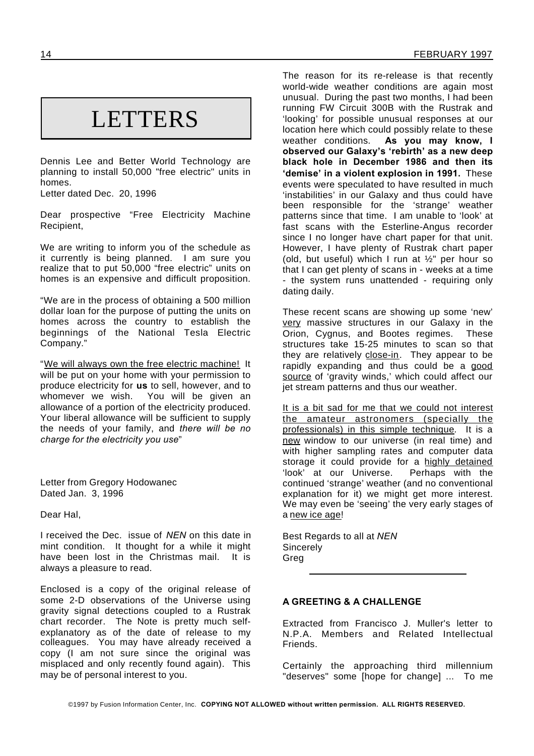# **LETTERS**

Dennis Lee and Better World Technology are planning to install 50,000 "free electric" units in homes.

Letter dated Dec. 20, 1996

Dear prospective "Free Electricity Machine Recipient,

We are writing to inform you of the schedule as it currently is being planned. I am sure you realize that to put 50,000 "free electric" units on homes is an expensive and difficult proposition.

"We are in the process of obtaining a 500 million dollar loan for the purpose of putting the units on homes across the country to establish the beginnings of the National Tesla Electric Company."

"We will always own the free electric machine! It will be put on your home with your permission to produce electricity for **us** to sell, however, and to whomever we wish. You will be given an allowance of a portion of the electricity produced. Your liberal allowance will be sufficient to supply the needs of your family, and *there will be no charge for the electricity you use*"

Letter from Gregory Hodowanec Dated Jan. 3, 1996

Dear Hal,

I received the Dec. issue of *NEN* on this date in mint condition. It thought for a while it might have been lost in the Christmas mail. It is always a pleasure to read.

Enclosed is a copy of the original release of some 2-D observations of the Universe using gravity signal detections coupled to a Rustrak chart recorder. The Note is pretty much selfexplanatory as of the date of release to my colleagues. You may have already received a copy (I am not sure since the original was misplaced and only recently found again). This may be of personal interest to you.

The reason for its re-release is that recently world-wide weather conditions are again most unusual. During the past two months, I had been running FW Circuit 300B with the Rustrak and 'looking' for possible unusual responses at our location here which could possibly relate to these weather conditions. **As you may know, I observed our Galaxy's 'rebirth' as a new deep black hole in December 1986 and then its 'demise' in a violent explosion in 1991.** These events were speculated to have resulted in much 'instabilities' in our Galaxy and thus could have been responsible for the 'strange' weather patterns since that time. I am unable to 'look' at fast scans with the Esterline-Angus recorder since I no longer have chart paper for that unit. However, I have plenty of Rustrak chart paper (old, but useful) which I run at  $\frac{1}{2}$ " per hour so that I can get plenty of scans in - weeks at a time - the system runs unattended - requiring only dating daily.

These recent scans are showing up some 'new' very massive structures in our Galaxy in the Orion, Cygnus, and Bootes regimes. These structures take 15-25 minutes to scan so that they are relatively close-in. They appear to be rapidly expanding and thus could be a good source of 'gravity winds,' which could affect our jet stream patterns and thus our weather.

It is a bit sad for me that we could not interest the amateur astronomers (specially the professionals) in this simple technique. It is a new window to our universe (in real time) and with higher sampling rates and computer data storage it could provide for a highly detained 'look' at our Universe. Perhaps with the continued 'strange' weather (and no conventional explanation for it) we might get more interest. We may even be 'seeing' the very early stages of a new ice age!

Best Regards to all at *NEN* **Sincerely** Greg

#### **A GREETING & A CHALLENGE**

Extracted from Francisco J. Muller's letter to N.P.A. Members and Related Intellectual Friends.

Certainly the approaching third millennium "deserves" some [hope for change] ... To me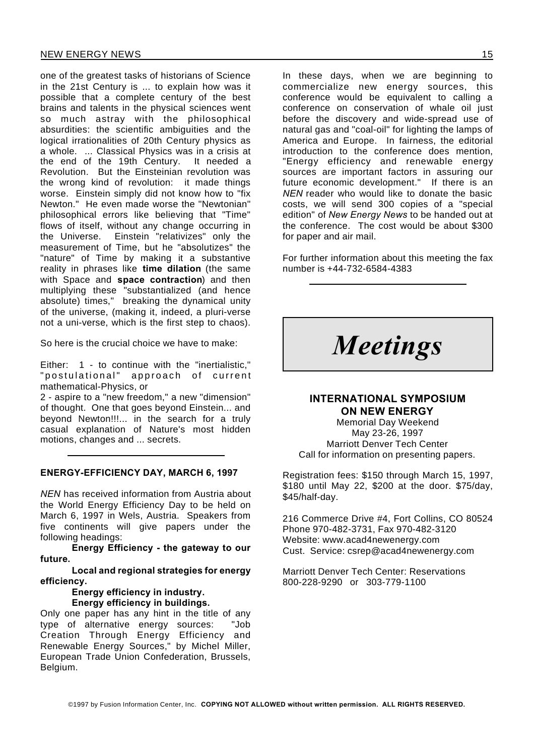one of the greatest tasks of historians of Science in the 21st Century is ... to explain how was it possible that a complete century of the best brains and talents in the physical sciences went so much astray with the philosophical absurdities: the scientific ambiguities and the logical irrationalities of 20th Century physics as a whole. ... Classical Physics was in a crisis at the end of the 19th Century. It needed a Revolution. But the Einsteinian revolution was the wrong kind of revolution: it made things worse. Einstein simply did not know how to "fix Newton." He even made worse the "Newtonian" philosophical errors like believing that "Time" flows of itself, without any change occurring in the Universe. Einstein "relativizes" only the measurement of Time, but he "absolutizes" the "nature" of Time by making it a substantive reality in phrases like **time dilation** (the same with Space and **space contraction**) and then multiplying these "substantialized (and hence absolute) times," breaking the dynamical unity of the universe, (making it, indeed, a pluri-verse not a uni-verse, which is the first step to chaos).

So here is the crucial choice we have to make:

Either: 1 - to continue with the "inertialistic," " postulational" approach of current mathematical-Physics, or

2 - aspire to a "new freedom," a new "dimension" of thought. One that goes beyond Einstein... and beyond Newton!!!... in the search for a truly casual explanation of Nature's most hidden motions, changes and ... secrets.

#### **ENERGY-EFFICIENCY DAY, MARCH 6, 1997**

*NEN* has received information from Austria about the World Energy Efficiency Day to be held on March 6, 1997 in Wels, Austria. Speakers from five continents will give papers under the following headings:

**Energy Efficiency - the gateway to our future.**

**Local and regional strategies for energy efficiency.**

#### **Energy efficiency in industry. Energy efficiency in buildings.**

Only one paper has any hint in the title of any type of alternative energy sources: "Job Creation Through Energy Efficiency and Renewable Energy Sources," by Michel Miller, European Trade Union Confederation, Brussels, Belgium.

In these days, when we are beginning to commercialize new energy sources, this conference would be equivalent to calling a conference on conservation of whale oil just before the discovery and wide-spread use of natural gas and "coal-oil" for lighting the lamps of America and Europe. In fairness, the editorial introduction to the conference does mention, "Energy efficiency and renewable energy sources are important factors in assuring our future economic development." If there is an *NEN* reader who would like to donate the basic costs, we will send 300 copies of a "special edition" of *New Energy News* to be handed out at the conference. The cost would be about \$300 for paper and air mail.

For further information about this meeting the fax number is +44-732-6584-4383

*Meetings*

### **INTERNATIONAL SYMPOSIUM ON NEW ENERGY**

Memorial Day Weekend May 23-26, 1997 Marriott Denver Tech Center Call for information on presenting papers.

Registration fees: \$150 through March 15, 1997, \$180 until May 22, \$200 at the door. \$75/day, \$45/half-day.

216 Commerce Drive #4, Fort Collins, CO 80524 Phone 970-482-3731, Fax 970-482-3120 Website: www.acad4newenergy.com Cust. Service: csrep@acad4newenergy.com

Marriott Denver Tech Center: Reservations 800-228-9290 or 303-779-1100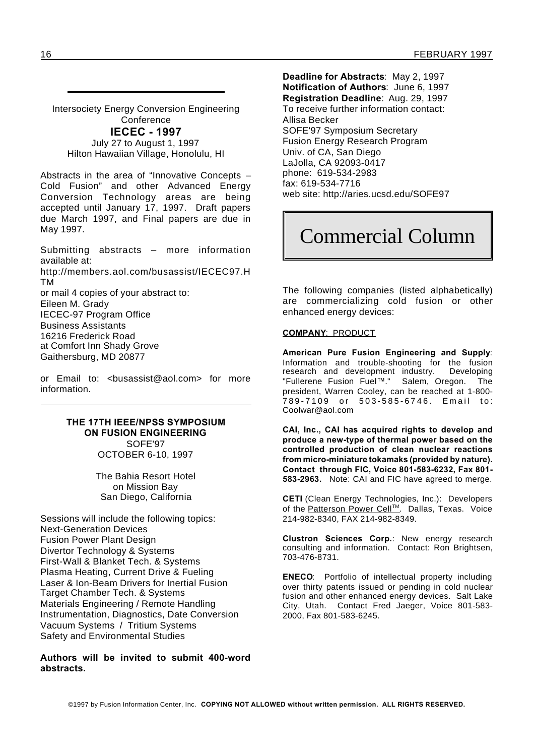Intersociety Energy Conversion Engineering **Conference IECEC - 1997** July 27 to August 1, 1997

Hilton Hawaiian Village, Honolulu, HI

Abstracts in the area of "Innovative Concepts – Cold Fusion" and other Advanced Energy Conversion Technology areas are being accepted until January 17, 1997. Draft papers due March 1997, and Final papers are due in May 1997.

Submitting abstracts – more information available at:

http://members.aol.com/busassist/IECEC97.H TM

or mail 4 copies of your abstract to: Eileen M. Grady IECEC-97 Program Office Business Assistants 16216 Frederick Road at Comfort Inn Shady Grove Gaithersburg, MD 20877

or Email to: <br />busassist@aol.com> for more information.

#### **THE 17TH IEEE/NPSS SYMPOSIUM ON FUSION ENGINEERING** SOFE'97 OCTOBER 6-10, 1997

The Bahia Resort Hotel on Mission Bay San Diego, California

Sessions will include the following topics: Next-Generation Devices Fusion Power Plant Design Divertor Technology & Systems First-Wall & Blanket Tech. & Systems Plasma Heating, Current Drive & Fueling Laser & Ion-Beam Drivers for Inertial Fusion Target Chamber Tech. & Systems Materials Engineering / Remote Handling Instrumentation, Diagnostics, Date Conversion Vacuum Systems / Tritium Systems Safety and Environmental Studies

**Authors will be invited to submit 400-word abstracts.**

**Deadline for Abstracts**: May 2, 1997 **Notification of Authors**: June 6, 1997 **Registration Deadline**: Aug. 29, 1997 To receive further information contact: Allisa Becker SOFE'97 Symposium Secretary Fusion Energy Research Program Univ. of CA, San Diego LaJolla, CA 92093-0417 phone: 619-534-2983 fax: 619-534-7716 web site: http://aries.ucsd.edu/SOFE97

# Commercial Column

The following companies (listed alphabetically) are commercializing cold fusion or other enhanced energy devices:

#### **COMPANY**: PRODUCT

**American Pure Fusion Engineering and Supply**: Information and trouble-shooting for the fusion research and development industry. Developing "Fullerene Fusion Fuel™." Salem, Oregon. The president, Warren Cooley, can be reached at 1-800- .<br>789-7109 or 503-585-6746. Email to: Coolwar@aol.com

**CAI, Inc., CAI has acquired rights to develop and produce a new-type of thermal power based on the controlled production of clean nuclear reactions from micro-miniature tokamaks (provided by nature). Contact through FIC, Voice 801-583-6232, Fax 801- 583-2963.** Note: CAI and FIC have agreed to merge.

**CETI** (Clean Energy Technologies, Inc.): Developers of the Patterson Power Cell™. Dallas, Texas. Voice 214-982-8340, FAX 214-982-8349.

**Clustron Sciences Corp.**: New energy research consulting and information. Contact: Ron Brightsen, 703-476-8731.

**ENECO**: Portfolio of intellectual property including over thirty patents issued or pending in cold nuclear fusion and other enhanced energy devices. Salt Lake City, Utah. Contact Fred Jaeger, Voice 801-583- 2000, Fax 801-583-6245.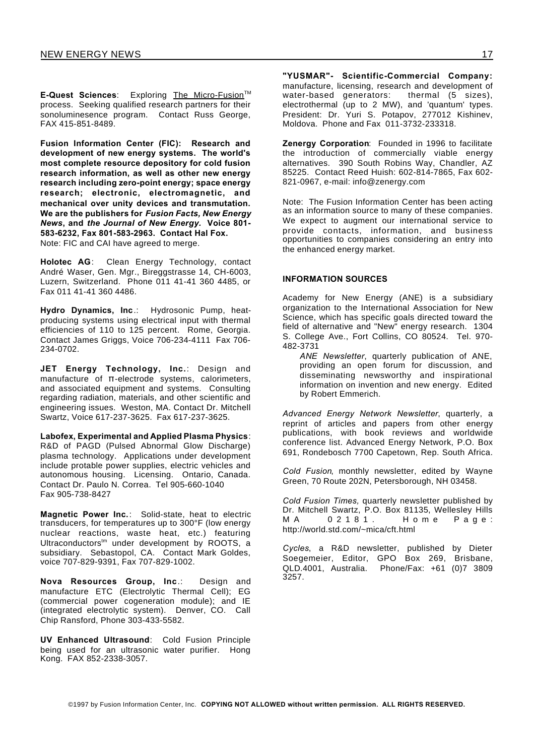**E-Quest Sciences:** Exploring The Micro-Fusion<sup>™</sup> process. Seeking qualified research partners for their sonoluminesence program. Contact Russ George, FAX 415-851-8489.

**Fusion Information Center (FIC): Research and development of new energy systems. The world's most complete resource depository for cold fusion research information, as well as other new energy research including zero-point energy; space energy research; electronic, electromagnetic, and mechanical over unity devices and transmutation. We are the publishers for** *Fusion Facts, New Energy News***, and** *the Journal of New Energy.* **Voice 801- 583-6232, Fax 801-583-2963. Contact Hal Fox.** Note: FIC and CAI have agreed to merge.

**Holotec AG**: Clean Energy Technology, contact André Waser, Gen. Mgr., Bireggstrasse 14, CH-6003, Luzern, Switzerland. Phone 011 41-41 360 4485, or Fax 011 41-41 360 4486.

**Hydro Dynamics, Inc**.: Hydrosonic Pump, heatproducing systems using electrical input with thermal efficiencies of 110 to 125 percent. Rome, Georgia. Contact James Griggs, Voice 706-234-4111 Fax 706- 234-0702.

**JET Energy Technology, Inc.**: Design and manufacture of  $\pi$ -electrode systems, calorimeters, and associated equipment and systems. Consulting regarding radiation, materials, and other scientific and engineering issues. Weston, MA. Contact Dr. Mitchell Swartz, Voice 617-237-3625. Fax 617-237-3625.

**Labofex, Experimental and Applied Plasma Physics**: R&D of PAGD (Pulsed Abnormal Glow Discharge) plasma technology. Applications under development include protable power supplies, electric vehicles and autonomous housing. Licensing. Ontario, Canada. Contact Dr. Paulo N. Correa. Tel 905-660-1040 Fax 905-738-8427

**Magnetic Power Inc.**: Solid-state, heat to electric transducers, for temperatures up to 300°F (low energy nuclear reactions, waste heat, etc.) featuring Ultraconductors<sup>tm</sup> under development by ROOTS, a subsidiary. Sebastopol, CA. Contact Mark Goldes, voice 707-829-9391, Fax 707-829-1002.

**Nova Resources Group, Inc**.: Design and manufacture ETC (Electrolytic Thermal Cell); EG (commercial power cogeneration module); and IE (integrated electrolytic system). Denver, CO. Call Chip Ransford, Phone 303-433-5582.

**UV Enhanced Ultrasound**: Cold Fusion Principle being used for an ultrasonic water purifier. Hong Kong. FAX 852-2338-3057.

**"YUSMAR"- Scientific-Commercial Company:** manufacture, licensing, research and development of<br>water-based generators: thermal (5 sizes). water-based generators: electrothermal (up to 2 MW), and 'quantum' types. President: Dr. Yuri S. Potapov, 277012 Kishinev, Moldova. Phone and Fax 011-3732-233318.

**Zenergy Corporation**: Founded in 1996 to facilitate the introduction of commercially viable energy alternatives. 390 South Robins Way, Chandler, AZ 85225. Contact Reed Huish: 602-814-7865, Fax 602- 821-0967, e-mail: info@zenergy.com

Note: The Fusion Information Center has been acting as an information source to many of these companies. We expect to augment our international service to provide contacts, information, and business opportunities to companies considering an entry into the enhanced energy market.

#### **INFORMATION SOURCES**

Academy for New Energy (ANE) is a subsidiary organization to the International Association for New Science, which has specific goals directed toward the field of alternative and "New" energy research. 1304 S. College Ave., Fort Collins, CO 80524. Tel. 970- 482-3731

*ANE Newsletter*, quarterly publication of ANE, providing an open forum for discussion, and disseminating newsworthy and inspirational information on invention and new energy. Edited by Robert Emmerich.

*Advanced Energy Network Newsletter*, quarterly, a reprint of articles and papers from other energy publications, with book reviews and worldwide conference list. Advanced Energy Network, P.O. Box 691, Rondebosch 7700 Capetown, Rep. South Africa.

*Cold Fusion*, monthly newsletter, edited by Wayne Green, 70 Route 202N, Petersborough, NH 03458.

*Cold Fusion Times,* quarterly newsletter published by Dr. Mitchell Swartz, P.O. Box 81135, Wellesley Hills M A 0 2 1 8 1. H o m e P a g e : http://world.std.com/~mica/cft.html

*Cycles*, a R&D newsletter, published by Dieter Soegemeier, Editor, GPO Box 269, Brisbane, QLD.4001, Australia. Phone/Fax: +61 (0)7 3809 3257.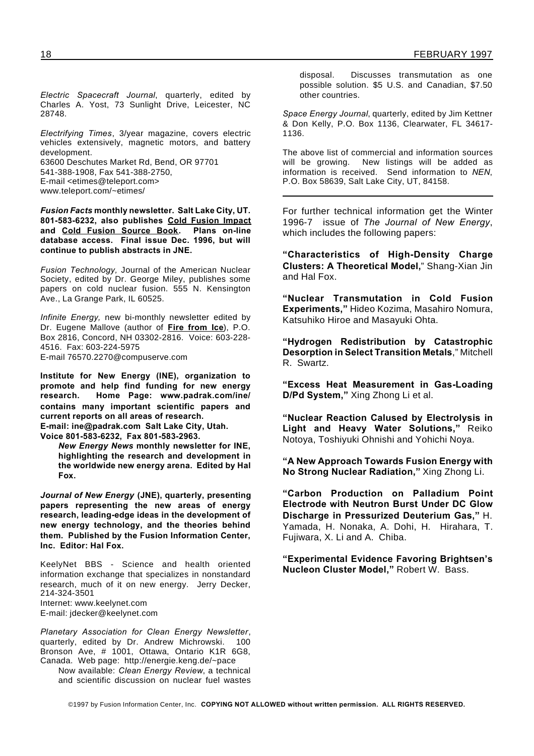*Electric Spacecraft Journal*, quarterly, edited by Charles A. Yost, 73 Sunlight Drive, Leicester, NC 28748.

*Electrifying Times*, 3/year magazine, covers electric vehicles extensively, magnetic motors, and battery development. 63600 Deschutes Market Rd, Bend, OR 97701 541-388-1908, Fax 541-388-2750, E-mail <etimes@teleport.com> www.teleport.com/~etimes/

*Fusion Facts* **monthly newsletter. Salt Lake City, UT. 801-583-6232, also publishes Cold Fusion Impact and Cold Fusion Source Book. Plans on-line database access. Final issue Dec. 1996, but will continue to publish abstracts in JNE.**

*Fusion Technology,* Journal of the American Nuclear Society, edited by Dr. George Miley, publishes some papers on cold nuclear fusion. 555 N. Kensington Ave., La Grange Park, IL 60525.

*Infinite Energy,* new bi-monthly newsletter edited by Dr. Eugene Mallove (author of **Fire from Ice**), P.O. Box 2816, Concord, NH 03302-2816. Voice: 603-228- 4516. Fax: 603-224-5975 E-mail 76570.2270@compuserve.com

**Institute for New Energy (INE), organization to promote and help find funding for new energy research. Home Page: www.padrak.com/ine/ contains many important scientific papers and current reports on all areas of research.**

**E-mail: ine@padrak.com Salt Lake City, Utah. Voice 801-583-6232, Fax 801-583-2963.**

*New Energy News* **monthly newsletter for INE, highlighting the research and development in the worldwide new energy arena. Edited by Hal Fox.**

*Journal of New Energy* **(JNE), quarterly, presenting papers representing the new areas of energy research, leading-edge ideas in the development of new energy technology, and the theories behind them. Published by the Fusion Information Center, Inc. Editor: Hal Fox.**

KeelyNet BBS - Science and health oriented information exchange that specializes in nonstandard research, much of it on new energy. Jerry Decker, 214-324-3501 Internet: www.keelynet.com E-mail: jdecker@keelynet.com

*Planetary Association for Clean Energy Newsletter*, quarterly, edited by Dr. Andrew Michrowski. 100 Bronson Ave, # 1001, Ottawa, Ontario K1R 6G8, Canada. Web page: http://energie.keng.de/~pace

Now available: *Clean Energy Review*, a technical and scientific discussion on nuclear fuel wastes

disposal. Discusses transmutation as one possible solution. \$5 U.S. and Canadian, \$7.50 other countries.

*Space Energy Journal*, quarterly, edited by Jim Kettner & Don Kelly, P.O. Box 1136, Clearwater, FL 34617- 1136.

The above list of commercial and information sources will be growing. New listings will be added as information is received. Send information to *NEN*, P.O. Box 58639, Salt Lake City, UT, 84158.

For further technical information get the Winter 1996-7 issue of *The Journal of New Energy*, which includes the following papers:

**"Characteristics of High-Density Charge Clusters: A Theoretical Model,**" Shang-Xian Jin and Hal Fox.

**"Nuclear Transmutation in Cold Fusion Experiments,"** Hideo Kozima, Masahiro Nomura, Katsuhiko Hiroe and Masayuki Ohta.

**"Hydrogen Redistribution by Catastrophic Desorption in Select Transition Metals**," Mitchell R. Swartz.

**"Excess Heat Measurement in Gas-Loading D/Pd System,"** Xing Zhong Li et al.

**"Nuclear Reaction Calused by Electrolysis in Light and Heavy Water Solutions,"** Reiko Notoya, Toshiyuki Ohnishi and Yohichi Noya.

**"A New Approach Towards Fusion Energy with No Strong Nuclear Radiation,"** Xing Zhong Li.

**"Carbon Production on Palladium Point Electrode with Neutron Burst Under DC Glow Discharge in Pressurized Deuterium Gas,"** H. Yamada, H. Nonaka, A. Dohi, H. Hirahara, T. Fujiwara, X. Li and A. Chiba.

**"Experimental Evidence Favoring Brightsen's Nucleon Cluster Model,"** Robert W. Bass.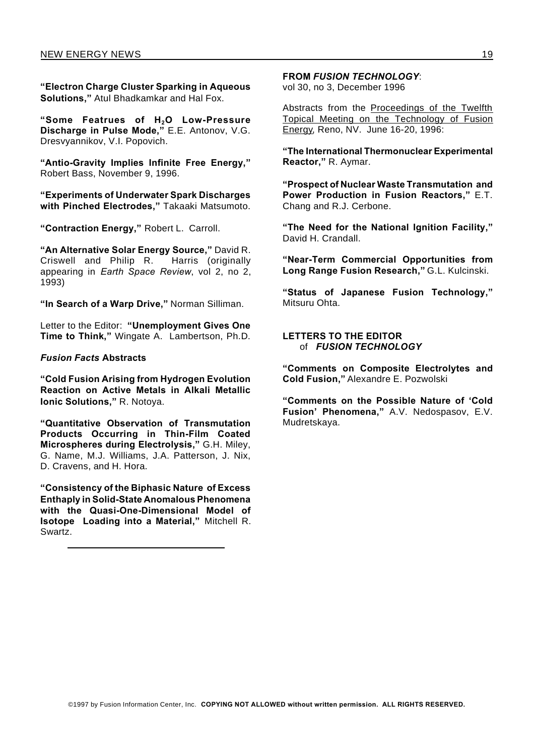**"Electron Charge Cluster Sparking in Aqueous Solutions,"** Atul Bhadkamkar and Hal Fox.

**"Some Featrues of H2O Low-Pressure Discharge in Pulse Mode,"** E.E. Antonov, V.G. Dresvyannikov, V.I. Popovich.

**"Antio-Gravity Implies Infinite Free Energy,"** Robert Bass, November 9, 1996.

**"Experiments of Underwater Spark Discharges with Pinched Electrodes,"** Takaaki Matsumoto.

**"Contraction Energy,"** Robert L. Carroll.

**"An Alternative Solar Energy Source,"** David R. Criswell and Philip R. Harris (originally appearing in *Earth Space Review*, vol 2, no 2, 1993)

**"In Search of a Warp Drive,"** Norman Silliman.

Letter to the Editor: **"Unemployment Gives One Time to Think,"** Wingate A. Lambertson, Ph.D.

#### *Fusion Facts* **Abstracts**

**"Cold Fusion Arising from Hydrogen Evolution Reaction on Active Metals in Alkali Metallic Ionic Solutions,"** R. Notoya.

**"Quantitative Observation of Transmutation Products Occurring in Thin-Film Coated Microspheres during Electrolysis,"** G.H. Miley, G. Name, M.J. Williams, J.A. Patterson, J. Nix, D. Cravens, and H. Hora.

**"Consistency of the Biphasic Nature of Excess Enthaply in Solid-State Anomalous Phenomena with the Quasi-One-Dimensional Model of Isotope Loading into a Material,"** Mitchell R. Swartz.

**FROM** *FUSION TECHNOLOGY*:

vol 30, no 3, December 1996

Abstracts from the Proceedings of the Twelfth Topical Meeting on the Technology of Fusion Energy, Reno, NV. June 16-20, 1996:

**"The International Thermonuclear Experimental Reactor,"** R. Aymar.

**"Prospect of Nuclear Waste Transmutation and Power Production in Fusion Reactors,"** E.T. Chang and R.J. Cerbone.

**"The Need for the National Ignition Facility,"** David H. Crandall.

**"Near-Term Commercial Opportunities from Long Range Fusion Research,"** G.L. Kulcinski.

**"Status of Japanese Fusion Technology,"** Mitsuru Ohta.

**LETTERS TO THE EDITOR** of *FUSION TECHNOLOGY*

**"Comments on Composite Electrolytes and Cold Fusion,"** Alexandre E. Pozwolski

**"Comments on the Possible Nature of 'Cold Fusion' Phenomena,"** A.V. Nedospasov, E.V. Mudretskaya.